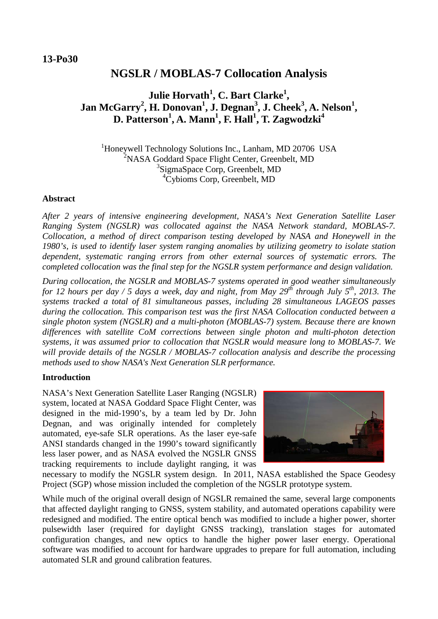# **NGSLR / MOBLAS-7 Collocation Analysis**

## **Julie Horvath<sup>1</sup> , C. Bart Clarke<sup>1</sup> , Jan McGarry<sup>2</sup>, H. Donovan<sup>1</sup>, J. Degnan<sup>3</sup>, J. Cheek<sup>3</sup>, A. Nelson<sup>1</sup>, D. Patterson<sup>1</sup> , A. Mann<sup>1</sup> , F. Hall<sup>1</sup> , T. Zagwodzki<sup>4</sup>**

<sup>1</sup>Honeywell Technology Solutions Inc., Lanham, MD 20706 USA <sup>2</sup>NASA Goddard Space Flight Center, Greenbelt, MD 3 SigmaSpace Corp, Greenbelt, MD 4 Cybioms Corp, Greenbelt, MD

#### **Abstract**

*After 2 years of intensive engineering development, NASA's Next Generation Satellite Laser Ranging System (NGSLR) was collocated against the NASA Network standard, MOBLAS-7. Collocation, a method of direct comparison testing developed by NASA and Honeywell in the 1980's, is used to identify laser system ranging anomalies by utilizing geometry to isolate station dependent, systematic ranging errors from other external sources of systematic errors. The completed collocation was the final step for the NGSLR system performance and design validation.*

*During collocation, the NGSLR and MOBLAS-7 systems operated in good weather simultaneously for 12 hours per day / 5 days a week, day and night, from May 29th through July 5th, 2013. The systems tracked a total of 81 simultaneous passes, including 28 simultaneous LAGEOS passes during the collocation. This comparison test was the first NASA Collocation conducted between a single photon system (NGSLR) and a multi-photon (MOBLAS-7) system. Because there are known differences with satellite CoM corrections between single photon and multi-photon detection systems, it was assumed prior to collocation that NGSLR would measure long to MOBLAS-7. We will provide details of the NGSLR / MOBLAS-7 collocation analysis and describe the processing methods used to show NASA's Next Generation SLR performance.* 

### **Introduction**

NASA's Next Generation Satellite Laser Ranging (NGSLR) system, located at NASA Goddard Space Flight Center, was designed in the mid-1990's, by a team led by Dr. John Degnan, and was originally intended for completely automated, eye-safe SLR operations. As the laser eye-safe ANSI standards changed in the 1990's toward significantly less laser power, and as NASA evolved the NGSLR GNSS tracking requirements to include daylight ranging, it was



necessary to modify the NGSLR system design. In 2011, NASA established the Space Geodesy Project (SGP) whose mission included the completion of the NGSLR prototype system.

While much of the original overall design of NGSLR remained the same, several large components that affected daylight ranging to GNSS, system stability, and automated operations capability were redesigned and modified. The entire optical bench was modified to include a higher power, shorter pulsewidth laser (required for daylight GNSS tracking), translation stages for automated configuration changes, and new optics to handle the higher power laser energy. Operational software was modified to account for hardware upgrades to prepare for full automation, including automated SLR and ground calibration features.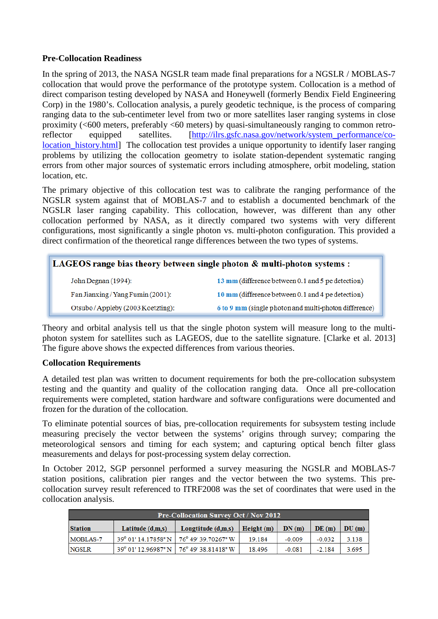## **Pre-Collocation Readiness**

In the spring of 2013, the NASA NGSLR team made final preparations for a NGSLR / MOBLAS-7 collocation that would prove the performance of the prototype system. Collocation is a method of direct comparison testing developed by NASA and Honeywell (formerly Bendix Field Engineering Corp) in the 1980's. Collocation analysis, a purely geodetic technique, is the process of comparing ranging data to the sub-centimeter level from two or more satellites laser ranging systems in close proximity (<600 meters, preferably <60 meters) by quasi-simultaneously ranging to common retro-reflector equipped satellites. [\[http://ilrs.gsfc.nasa.gov/network/system\\_performance/co](http://ilrs.gsfc.nasa.gov/network/system_performance/co-location_history.html)location history.html] The collocation test provides a unique opportunity to identify laser ranging problems by utilizing the collocation geometry to isolate station-dependent systematic ranging errors from other major sources of systematic errors including atmosphere, orbit modeling, station location, etc.

The primary objective of this collocation test was to calibrate the ranging performance of the NGSLR system against that of MOBLAS-7 and to establish a documented benchmark of the NGSLR laser ranging capability. This collocation, however, was different than any other collocation performed by NASA, as it directly compared two systems with very different configurations, most significantly a single photon vs. multi-photon configuration. This provided a direct confirmation of the theoretical range differences between the two types of systems.

| <b>LAGEOS</b> range bias theory between single photon $\&$ multi-photon systems : |                                                       |  |  |
|-----------------------------------------------------------------------------------|-------------------------------------------------------|--|--|
| John Degnan (1994):                                                               | 13 mm (difference between 0.1 and 5 pe detection)     |  |  |
| Fan Jianxing/Yang Fumin (2001):                                                   | 10 mm (difference between 0.1 and 4 pe detection)     |  |  |
| Otsubo/Appleby (2003 Koetzting):                                                  | 6 to 9 mm (single photon and multi-photon difference) |  |  |

Theory and orbital analysis tell us that the single photon system will measure long to the multiphoton system for satellites such as LAGEOS, due to the satellite signature. [Clarke et al. 2013] The figure above shows the expected differences from various theories.

### **Collocation Requirements**

A detailed test plan was written to document requirements for both the pre-collocation subsystem testing and the quantity and quality of the collocation ranging data. Once all pre-collocation requirements were completed, station hardware and software configurations were documented and frozen for the duration of the collocation.

To eliminate potential sources of bias, pre-collocation requirements for subsystem testing include measuring precisely the vector between the systems' origins through survey; comparing the meteorological sensors and timing for each system; and capturing optical bench filter glass measurements and delays for post-processing system delay correction.

In October 2012, SGP personnel performed a survey measuring the NGSLR and MOBLAS-7 station positions, calibration pier ranges and the vector between the two systems. This precollocation survey result referenced to ITRF2008 was the set of coordinates that were used in the collocation analysis.

| <b>Pre-Collocation Survey Oct / Nov 2012</b> |                    |                                                              |               |          |          |       |
|----------------------------------------------|--------------------|--------------------------------------------------------------|---------------|----------|----------|-------|
| <b>Station</b>                               | Latitude $(d,m,s)$ | Longtitude $(d,m,s)$                                         | $H$ eight (m) | DN(m)    | DE(m)    | DU(m) |
| MOBLAS-7                                     |                    | 39° 01′ 14.17858" N   76° 49′ 39.70267" W                    | 19.184        | $-0.009$ | $-0.032$ | 3.138 |
| <b>NGSLR</b>                                 |                    | $39^{\circ}$ 01' 12.96987" N   76 $^{\circ}$ 49' 38.81418" W | 18.496        | $-0.081$ | $-2.184$ | 3.695 |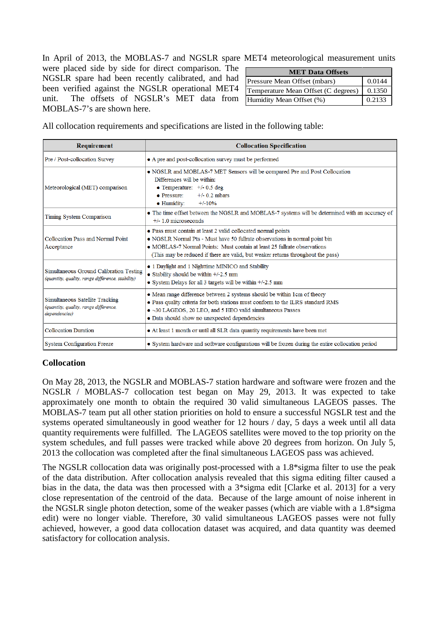In April of 2013, the MOBLAS-7 and NGSLR spare MET4 meteorological measurement units

were placed side by side for direct comparison. The NGSLR spare had been recently calibrated, and had been verified against the NGSLR operational MET4 unit. The offsets of NGSLR's MET data from MOBLAS-7's are shown here.

| <b>MET Data Offsets</b>             |        |  |  |
|-------------------------------------|--------|--|--|
| Pressure Mean Offset (mbars)        | 0.0144 |  |  |
| Temperature Mean Offset (C degrees) | 0.1350 |  |  |
| Humidity Mean Offset (%)            | 0.2133 |  |  |

All collocation requirements and specifications are listed in the following table:

| Requirement                                                                                 | <b>Collocation Specification</b>                                                                                                                                                                                                                                                                             |  |  |
|---------------------------------------------------------------------------------------------|--------------------------------------------------------------------------------------------------------------------------------------------------------------------------------------------------------------------------------------------------------------------------------------------------------------|--|--|
| Pre / Post-collocation Survey                                                               | • A pre and post-collocation survey must be performed                                                                                                                                                                                                                                                        |  |  |
| Meteorological (MET) comparison                                                             | • NGSLR and MOBLAS-7 MET Sensors will be compared Pre and Post Collocation<br>Differences will be within:<br>• Temperature: $+/-0.5$ deg<br>$\bullet$ Pressure:<br>$+/- 0.2$ mbars<br>$\bullet$ Humidity:<br>$+/-10%$                                                                                        |  |  |
| Timing System Comparison                                                                    | • The time offset between the NGSLR and MOBLAS-7 systems will be determined with an accuracy of<br>$+/- 1.0$ microseconds                                                                                                                                                                                    |  |  |
| Collocation Pass and Normal Point<br>Acceptance                                             | • Pass must contain at least 2 valid collocated normal points<br>. NGSLR Normal Pts - Must have 50 fullrate observations in normal point bin<br>• MOBLAS-7 Normal Points: Must contain at least 25 fullrate observations<br>(This may be reduced if there are valid, but weaker returns throughout the pass) |  |  |
| Simultaneous Ground Calibration Testing<br>(quantity, quality, range difference, stability) | • 1 Daylight and 1 Nighttime MINICO and Stability<br>$\bullet$ Stability should be within $+/2.5$ mm<br>$\bullet$ System Delays for all 3 targets will be within +/-2.5 mm                                                                                                                                   |  |  |
| Simultaneous Satellite Tracking<br>(quantity, quality, range difference,<br>dependencies)   | • Mean range difference between 2 systems should be within 1cm of theory<br>. Pass quality criteria for both stations must conform to the ILRS standard RMS<br>• ~30 LAGEOS, 20 LEO, and 5 HEO valid simultaneous Passes<br>· Data should show no unexpected dependencies                                    |  |  |
| <b>Collocation Duration</b>                                                                 | • At least 1 month or until all SLR data quantity requirements have been met                                                                                                                                                                                                                                 |  |  |
| <b>System Configuration Freeze</b>                                                          | • System hardware and software configurations will be frozen during the entire collocation period                                                                                                                                                                                                            |  |  |

### **Collocation**

On May 28, 2013, the NGSLR and MOBLAS-7 station hardware and software were frozen and the NGSLR / MOBLAS-7 collocation test began on May 29, 2013. It was expected to take approximately one month to obtain the required 30 valid simultaneous LAGEOS passes. The MOBLAS-7 team put all other station priorities on hold to ensure a successful NGSLR test and the systems operated simultaneously in good weather for 12 hours / day, 5 days a week until all data quantity requirements were fulfilled. The LAGEOS satellites were moved to the top priority on the system schedules, and full passes were tracked while above 20 degrees from horizon. On July 5, 2013 the collocation was completed after the final simultaneous LAGEOS pass was achieved.

The NGSLR collocation data was originally post-processed with a 1.8\*sigma filter to use the peak of the data distribution. After collocation analysis revealed that this sigma editing filter caused a bias in the data, the data was then processed with a 3\*sigma edit [Clarke et al. 2013] for a very close representation of the centroid of the data. Because of the large amount of noise inherent in the NGSLR single photon detection, some of the weaker passes (which are viable with a 1.8\*sigma edit) were no longer viable. Therefore, 30 valid simultaneous LAGEOS passes were not fully achieved, however, a good data collocation dataset was acquired, and data quantity was deemed satisfactory for collocation analysis.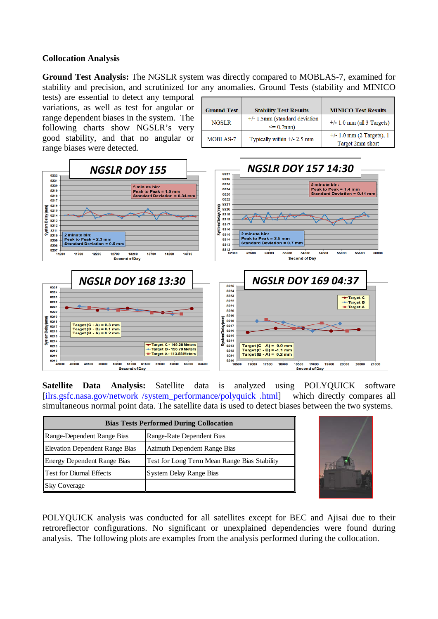## **Collocation Analysis**

**Ground Test Analysis:** The NGSLR system was directly compared to MOBLAS-7, examined for stability and precision, and scrutinized for any anomalies. Ground Tests (stability and MINICO

tests) are essential to detect any temporal variations, as well as test for angular or range dependent biases in the system. The following charts show NGSLR's very good stability, and that no angular or range biases were detected.

| Ground Test  | <b>Stability Test Results</b>                     | <b>MINICO Test Results</b>                      |
|--------------|---------------------------------------------------|-------------------------------------------------|
| <b>NGSLR</b> | $+/- 1.5$ mm (standard deviation<br>$\leq$ 0.7mm) | $+/- 1.0$ mm (all 3 Targets)                    |
| MOBLAS-7     | Typically within $+/- 2.5$ mm                     | $+/- 1.0$ mm (2 Targets), 1<br>Target 2mm short |



**Satellite Data Analysis:** Satellite data is analyzed using POLYQUICK software [ilrs.gsfc.nasa.gov/network /system\_performance/polyquick .html] which directly compares all simultaneous normal point data. The satellite data is used to detect biases between the two systems.

| <b>Bias Tests Performed During Collocation</b> |                                              |  |  |
|------------------------------------------------|----------------------------------------------|--|--|
| Range-Dependent Range Bias                     | Range-Rate Dependent Bias                    |  |  |
| <b>Elevation Dependent Range Bias</b>          | Azimuth Dependent Range Bias                 |  |  |
| <b>Energy Dependent Range Bias</b>             | Test for Long Term Mean Range Bias Stability |  |  |
| <b>Test for Diurnal Effects</b>                | System Delay Range Bias                      |  |  |
| <b>Sky Coverage</b>                            |                                              |  |  |



POLYQUICK analysis was conducted for all satellites except for BEC and Ajisai due to their retroreflector configurations. No significant or unexplained dependencies were found during analysis. The following plots are examples from the analysis performed during the collocation.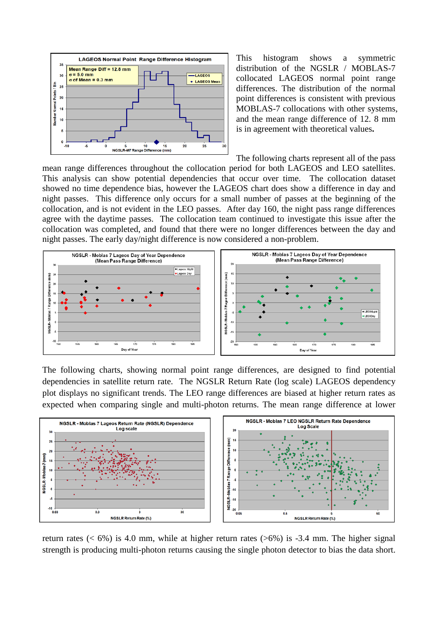

This histogram shows a symmetric distribution of the NGSLR / MOBLAS-7 collocated LAGEOS normal point range differences. The distribution of the normal point differences is consistent with previous MOBLAS-7 collocations with other systems, and the mean range difference of 12. 8 mm is in agreement with theoretical values**.**

The following charts represent all of the pass

mean range differences throughout the collocation period for both LAGEOS and LEO satellites. This analysis can show potential dependencies that occur over time. The collocation dataset showed no time dependence bias, however the LAGEOS chart does show a difference in day and night passes. This difference only occurs for a small number of passes at the beginning of the collocation, and is not evident in the LEO passes. After day 160, the night pass range differences agree with the daytime passes. The collocation team continued to investigate this issue after the collocation was completed, and found that there were no longer differences between the day and night passes. The early day/night difference is now considered a non-problem.



The following charts, showing normal point range differences, are designed to find potential dependencies in satellite return rate. The NGSLR Return Rate (log scale) LAGEOS dependency plot displays no significant trends. The LEO range differences are biased at higher return rates as expected when comparing single and multi-photon returns. The mean range difference at lower



return rates ( $< 6\%$ ) is 4.0 mm, while at higher return rates ( $>6\%$ ) is -3.4 mm. The higher signal strength is producing multi-photon returns causing the single photon detector to bias the data short.